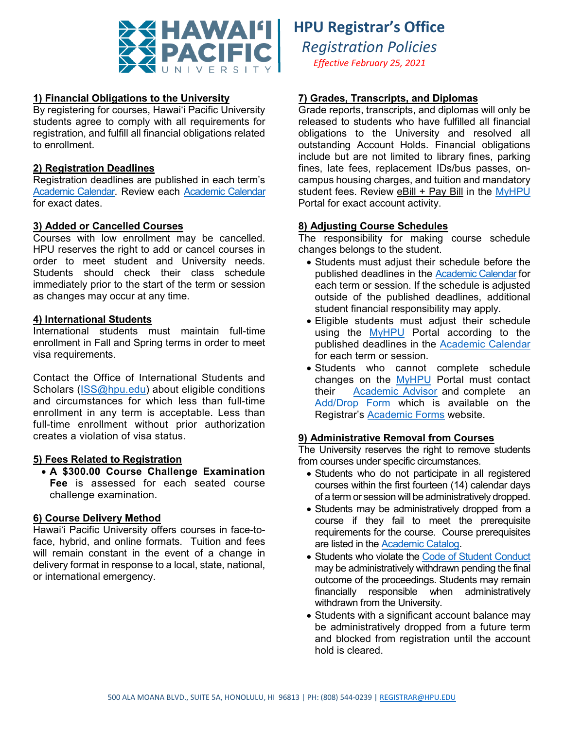

# **1) Financial Obligations to the University**

By registering for courses, Hawai'i Pacific University students agree to comply with all requirements for registration, and fulfill all financial obligations related to enrollment.

### **2) Registration Deadlines**

Registration deadlines are published in each term's [Academic Calendar.](https://www.hpu.edu/registrar/academic-calendar.html) Review each [Academic Calendar](https://www.hpu.edu/registrar/academic-calendar.html) for exact dates.

### **3) Added or Cancelled Courses**

Courses with low enrollment may be cancelled. HPU reserves the right to add or cancel courses in order to meet student and University needs. Students should check their class schedule immediately prior to the start of the term or session as changes may occur at any time.

### **4) International Students**

International students must maintain full-time enrollment in Fall and Spring terms in order to meet visa requirements.

Contact the Office of International Students and Scholars (*ISS@hpu.edu*) about eligible conditions and circumstances for which less than full-time enrollment in any term is acceptable. Less than full-time enrollment without prior authorization creates a violation of visa status.

# **5) Fees Related to Registration**

• **A \$300.00 Course Challenge Examination Fee** is assessed for each seated course challenge examination.

### **6) Course Delivery Method**

Hawai'i Pacific University offers courses in face-toface, hybrid, and online formats. Tuition and fees will remain constant in the event of a change in delivery format in response to a local, state, national, or international emergency.

# **HPU Registrar's Office**

*Registration Policies Effective February 25, 2021*

# **7) Grades, Transcripts, and Diplomas**

Grade reports, transcripts, and diplomas will only be released to students who have fulfilled all financial obligations to the University and resolved all outstanding Account Holds. Financial obligations include but are not limited to library fines, parking fines, late fees, replacement IDs/bus passes, oncampus housing charges, and tuition and mandatory student fees. Review eBill + Pay Bill in the [MyHPU](https://my.hpu.edu/) Portal for exact account activity.

# **8) Adjusting Course Schedules**

The responsibility for making course schedule changes belongs to the student.

- Students must adjust their schedule before the published deadlines in the [Academic Calendar](https://www.hpu.edu/registrar/academic-calendar.html) for each term or session. If the schedule is adjusted outside of the published deadlines, additional student financial responsibility may apply.
- Eligible students must adjust their schedule using the [MyHPU](https://my.hpu.edu/) Portal according to the published deadlines in the [Academic Calendar](https://www.hpu.edu/registrar/academic-calendar.html) for each term or session.
- Students who cannot complete schedule changes on the [MyHPU](https://my.hpu.edu/) Portal must contact their [Academic Advisor](https://www.hpu.edu/academic-advising/meet-your-advisor.html) and complete an [Add/Drop Form](https://www.hpu.edu/registrar/files/add_drop.pdf) which is available on the Registrar's [Academic Forms](https://www.hpu.edu/registrar/academic-forms.html) website.

### **9) Administrative Removal from Courses**

The University reserves the right to remove students from courses under specific circumstances.

- Students who do not participate in all registered courses within the first fourteen (14) calendar days of a term or session will be administratively dropped.
- Students may be administratively dropped from a course if they fail to meet the prerequisite requirements for the course. Course prerequisites are listed in the [Academic Catalog.](https://www.hpu.edu/registrar/academic-catalog/index.html)
- Students who violate the [Code of Student Conduct](https://www.hpu.edu/student-life/files/student-handbook.pdf) may be administratively withdrawn pending the final outcome of the proceedings. Students may remain financially responsible when administratively withdrawn from the University.
- Students with a significant account balance may be administratively dropped from a future term and blocked from registration until the account hold is cleared.